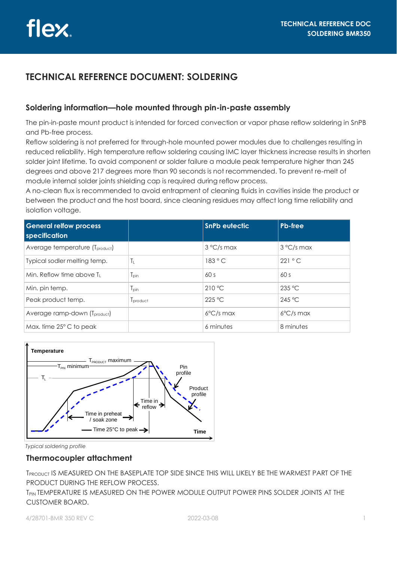# **TECHNICAL REFERENCE DOCUMENT: SOLDERING**

## **Soldering information—hole mounted through pin-in-paste assembly**

The pin-in-paste mount product is intended for forced convection or vapor phase reflow soldering in SnPB and Pb-free process.

Reflow soldering is not preferred for through-hole mounted power modules due to challenges resulting in reduced reliability. High temperature reflow soldering causing IMC layer thickness increase results in shorten solder joint lifetime. To avoid component or solder failure a module peak temperature higher than 245 degrees and above 217 degrees more than 90 seconds is not recommended. To prevent re-melt of module internal solder joints shielding cap is required during reflow process.

A no-clean flux is recommended to avoid entrapment of cleaning fluids in cavities inside the product or between the product and the host board, since cleaning residues may affect long time reliability and isolation voltage.

| <b>General relfow process</b><br>specification |                  | <b>SnPb eutectic</b> | <b>Pb-free</b>      |
|------------------------------------------------|------------------|----------------------|---------------------|
| Average temperature (T <sub>product</sub> )    |                  | 3 °C/s max           | 3 °C/s max          |
| Typical sodler melting temp.                   | Tı.              | 183 °C               | 221 °C              |
| Min. Reflow time above $T_1$                   | l <sub>Din</sub> | 60s                  | 60s                 |
| Min. pin temp.                                 | $T_{pin}$        | 210 °C               | 235 °C              |
| Peak product temp.                             | Iproduct         | 225 °C               | 245 °C              |
| Average ramp-down (Tproduct)                   |                  | $6^{\circ}$ C/s max  | $6^{\circ}$ C/s max |
| Max, time 25° C to peak                        |                  | 6 minutes            | 8 minutes           |



*Typical soldering profile* 

## **Thermocoupler attachment**

TPRODUCT IS MEASURED ON THE BASEPLATE TOP SIDE SINCE THIS WILL LIKELY BE THE WARMEST PART OF THE PRODUCT DURING THE REFLOW PROCESS.

T<sub>PIN</sub> TEMPERATURE IS MEASURED ON THE POWER MODULE OUTPUT POWER PINS SOLDER JOINTS AT THE CUSTOMER BOARD.